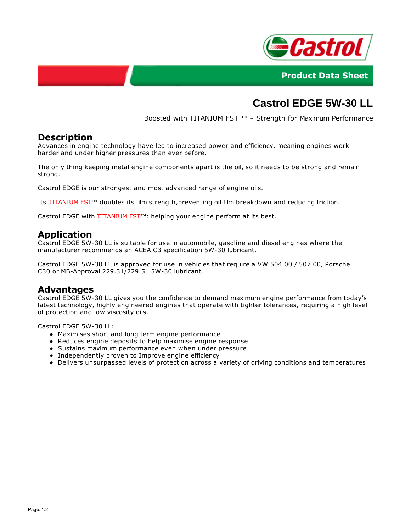



# **Castrol EDGE 5W-30 LL**

Boosted with TITANIUM FST ™ - Strength for Maximum Performance

### **Description**

Advances in engine technology have led to increased power and efficiency, meaning engines work harder and under higher pressures than ever before.

The only thing keeping metal engine components apart is the oil, so it needs to be strong and remain strong.

Castrol EDGE is our strongest and most advanced range of engine oils.

Its TITANIUM FST™ doubles its film strength,preventing oil film breakdown and reducing friction.

Castrol EDGE with TITANIUM FST™: helping your engine perform at its best.

#### **Application**

Castrol EDGE 5W-30 LL is suitable for use in automobile, gasoline and diesel engines where the manufacturer recommends an ACEA C3 specification 5W-30 lubricant.

Castrol EDGE 5W-30 LL is approved for use in vehicles that require a VW 504 00 / 507 00, Porsche C30 or MB-Approval 229.31/229.51 5W-30 lubricant.

#### **Advantages**

Castrol EDGE 5W-30 LL gives you the confidence to demand maximum engine performance from today's latest technology, highly engineered engines that operate with tighter tolerances, requiring a high level of protection and low viscosity oils.

Castrol EDGE 5W-30 LL:

- Maximises short and long term engine performance
- Reduces engine deposits to help maximise engine response
- Sustains maximum performance even when under pressure
- Independently proven to Improve engine efficiency
- Delivers unsurpassed levels of protection across a variety of driving conditions and temperatures